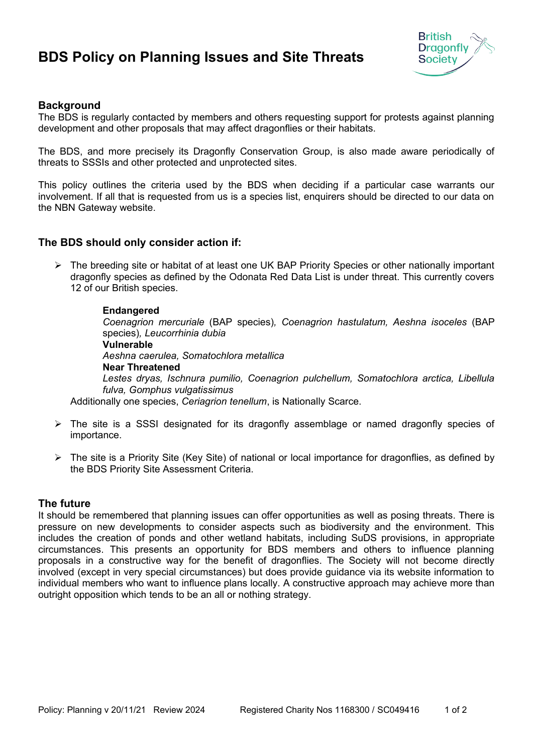# **BDS Policy on Planning Issues and Site Threats**



## **Background**

The BDS is regularly contacted by members and others requesting support for protests against planning development and other proposals that may affect dragonflies or their habitats.

The BDS, and more precisely its Dragonfly Conservation Group, is also made aware periodically of threats to SSSIs and other protected and unprotected sites.

This policy outlines the criteria used by the BDS when deciding if a particular case warrants our involvement. If all that is requested from us is a species list, enquirers should be directed to our data on the NBN Gateway website.

## **The BDS should only consider action if:**

> The breeding site or habitat of at least one UK BAP Priority Species or other nationally important dragonfly species as defined by the Odonata Red Data List is under threat. This currently covers 12 of our British species.

#### **Endangered**

*Coenagrion mercuriale* (BAP species)*, Coenagrion hastulatum, Aeshna isoceles* (BAP species)*, Leucorrhinia dubia* **Vulnerable**  *Aeshna caerulea, Somatochlora metallica*  **Near Threatened**  *Lestes dryas, Ischnura pumilio, Coenagrion pulchellum, Somatochlora arctica, Libellula fulva, Gomphus vulgatissimus*

Additionally one species, *Ceriagrion tenellum*, is Nationally Scarce.

- $\triangleright$  The site is a SSSI designated for its dragonfly assemblage or named dragonfly species of importance.
- $\triangleright$  The site is a Priority Site (Key Site) of national or local importance for dragonflies, as defined by the BDS Priority Site Assessment Criteria.

## **The future**

It should be remembered that planning issues can offer opportunities as well as posing threats. There is pressure on new developments to consider aspects such as biodiversity and the environment. This includes the creation of ponds and other wetland habitats, including SuDS provisions, in appropriate circumstances. This presents an opportunity for BDS members and others to influence planning proposals in a constructive way for the benefit of dragonflies. The Society will not become directly involved (except in very special circumstances) but does provide guidance via its website information to individual members who want to influence plans locally. A constructive approach may achieve more than outright opposition which tends to be an all or nothing strategy.